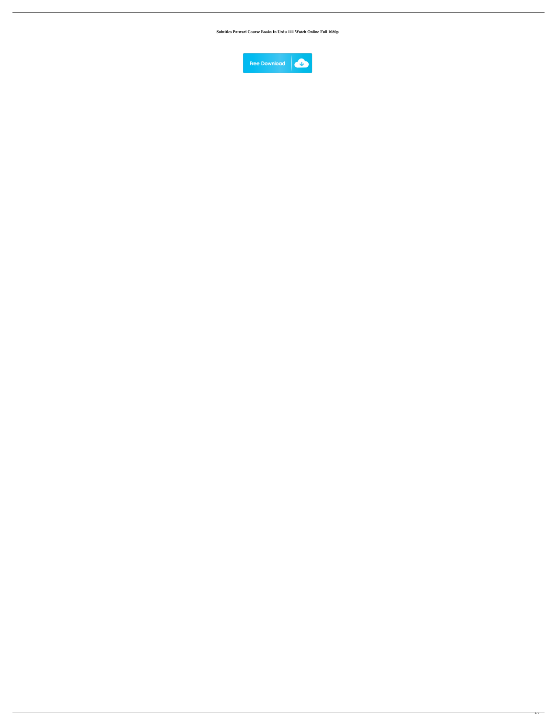**Subtitles Patwari Course Books In Urdu 111 Watch Online Full 1080p**

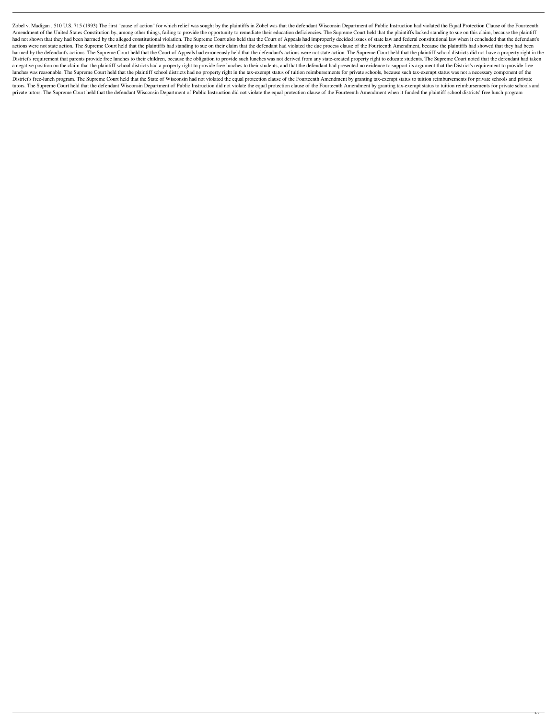Zobel v. Madigan, 510 U.S. 715 (1993) The first "cause of action" for which relief was sought by the plaintiffs in Zobel was that the defendant Wisconsin Department of Public Instruction had violated the Equal Protection C Amendment of the United States Constitution by, among other things, failing to provide the opportunity to remediate their education deficiencies. The Supreme Court held that the plaintiffs lacked standing to sue on this cl had not shown that they had been harmed by the alleged constitutional violation. The Supreme Court also held that the Court of Appeals had improperly decided issues of state law and federal constitutional law when it concl actions were not state action. The Supreme Court held that the plaintiffs had standing to sue on their claim that the defendant had violated the due process clause of the Fourteenth Amendment, because the plaintiffs had sh harmed by the defendant's actions. The Supreme Court held that the Court of Appeals had erroneously held that the defendant's actions were not state action. The Supreme Court held that the plaintiff school districts did no District's requirement that parents provide free lunches to their children, because the obligation to provide such lunches was not derived from any state-created property right to educate students. The Supreme Court noted a negative position on the claim that the plaintiff school districts had a property right to provide free lunches to their students, and that the defendant had presented no evidence to support its argument that the Distric lunches was reasonable. The Supreme Court held that the plaintiff school districts had no property right in the tax-exempt status of tuition reimbursements for private schools, because such tax-exempt status was not a nece District's free-lunch program. The Supreme Court held that the State of Wisconsin had not violated the equal protection clause of the Fourteenth Amendment by granting tax-exempt status to tuition reimbursements for private tutors. The Supreme Court held that the defendant Wisconsin Department of Public Instruction did not violate the equal protection clause of the Fourteenth Amendment by granting tax-exempt status to tuition reimbursements f private tutors. The Supreme Court held that the defendant Wisconsin Department of Public Instruction did not violate the equal protection clause of the Fourteenth Amendment when it funded the plaintiff school districts' fr